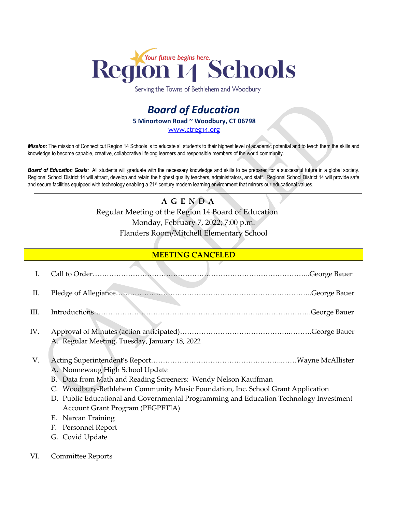

Serving the Towns of Bethlehem and Woodbury

## *Board of Education* **5 Minortown Road ~ Woodbury, CT 06798** [www.ctreg14.org](http://www.ctreg14.org/)

*Mission:* The mission of Connecticut Region 14 Schools is to educate all students to their highest level of academic potential and to teach them the skills and knowledge to become capable, creative, collaborative lifelong learners and responsible members of the world community.

*Board of Education Goals:* All students will graduate with the necessary knowledge and skills to be prepared for a successful future in a global society. Regional School District 14 will attract, develop and retain the highest quality teachers, administrators, and staff. Regional School District 14 will provide safe and secure facilities equipped with technology enabling a 21<sup>st</sup> century modern learning environment that mirrors our educational values.

## **A G E N D A** Regular Meeting of the Region 14 Board of Education Monday, February 7, 2022; 7:00 p.m. Flanders Room/Mitchell Elementary School

## **MEETING CANCELED**

| I.  | .George Bauer                                                                                                                                                                                                                                                                                                                                                                                   |
|-----|-------------------------------------------------------------------------------------------------------------------------------------------------------------------------------------------------------------------------------------------------------------------------------------------------------------------------------------------------------------------------------------------------|
| Π.  |                                                                                                                                                                                                                                                                                                                                                                                                 |
| Ш.  |                                                                                                                                                                                                                                                                                                                                                                                                 |
| IV. | A. Regular Meeting, Tuesday, January 18, 2022                                                                                                                                                                                                                                                                                                                                                   |
| V.  | A. Nonnewaug High School Update<br>B. Data from Math and Reading Screeners: Wendy Nelson Kauffman<br>C. Woodbury-Bethlehem Community Music Foundation, Inc. School Grant Application<br>D. Public Educational and Governmental Programming and Education Technology Investment<br><b>Account Grant Program (PEGPETIA)</b><br>Narcan Training<br>Е.<br>Personnel Report<br>F.<br>G. Covid Update |

VI. Committee Reports